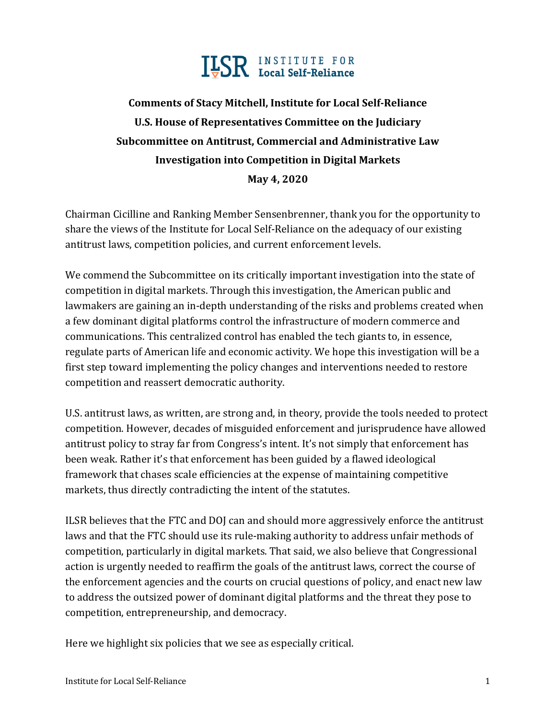

# **Comments of Stacy Mitchell, Institute for Local Self-Reliance U.S. House of Representatives Committee on the Judiciary Subcommittee on Antitrust, Commercial and Administrative Law Investigation into Competition in Digital Markets May 4, 2020**

Chairman Cicilline and Ranking Member Sensenbrenner, thank you for the opportunity to share the views of the Institute for Local Self-Reliance on the adequacy of our existing antitrust laws, competition policies, and current enforcement levels.

We commend the Subcommittee on its critically important investigation into the state of competition in digital markets. Through this investigation, the American public and lawmakers are gaining an in-depth understanding of the risks and problems created when a few dominant digital platforms control the infrastructure of modern commerce and communications. This centralized control has enabled the tech giants to, in essence, regulate parts of American life and economic activity. We hope this investigation will be a first step toward implementing the policy changes and interventions needed to restore competition and reassert democratic authority.

U.S. antitrust laws, as written, are strong and, in theory, provide the tools needed to protect competition. However, decades of misguided enforcement and jurisprudence have allowed antitrust policy to stray far from Congress's intent. It's not simply that enforcement has been weak. Rather it's that enforcement has been guided by a flawed ideological framework that chases scale efficiencies at the expense of maintaining competitive markets, thus directly contradicting the intent of the statutes.

ILSR believes that the FTC and DOJ can and should more aggressively enforce the antitrust laws and that the FTC should use its rule-making authority to address unfair methods of competition, particularly in digital markets. That said, we also believe that Congressional action is urgently needed to reaffirm the goals of the antitrust laws, correct the course of the enforcement agencies and the courts on crucial questions of policy, and enact new law to address the outsized power of dominant digital platforms and the threat they pose to competition, entrepreneurship, and democracy.

Here we highlight six policies that we see as especially critical.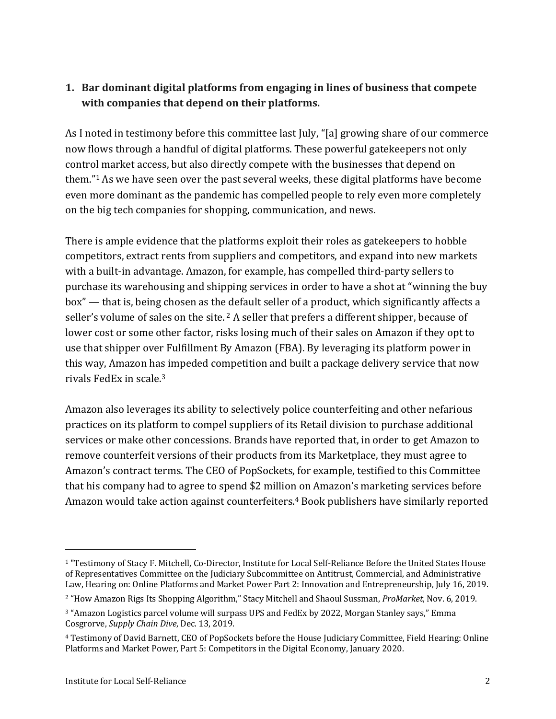### **1.** Bar dominant digital platforms from engaging in lines of business that compete with companies that depend on their platforms.

As I noted in testimony before this committee last July, "[a] growing share of our commerce now flows through a handful of digital platforms. These powerful gatekeepers not only control market access, but also directly compete with the businesses that depend on them." $1$  As we have seen over the past several weeks, these digital platforms have become even more dominant as the pandemic has compelled people to rely even more completely on the big tech companies for shopping, communication, and news.

There is ample evidence that the platforms exploit their roles as gatekeepers to hobble competitors, extract rents from suppliers and competitors, and expand into new markets with a built-in advantage. Amazon, for example, has compelled third-party sellers to purchase its warehousing and shipping services in order to have a shot at "winning the buy box" — that is, being chosen as the default seller of a product, which significantly affects a seller's volume of sales on the site.  $2A$  seller that prefers a different shipper, because of lower cost or some other factor, risks losing much of their sales on Amazon if they opt to use that shipper over Fulfillment By Amazon (FBA). By leveraging its platform power in this way, Amazon has impeded competition and built a package delivery service that now rivals FedEx in scale.<sup>3</sup>

Amazon also leverages its ability to selectively police counterfeiting and other nefarious practices on its platform to compel suppliers of its Retail division to purchase additional services or make other concessions. Brands have reported that, in order to get Amazon to remove counterfeit versions of their products from its Marketplace, they must agree to Amazon's contract terms. The CEO of PopSockets, for example, testified to this Committee that his company had to agree to spend \$2 million on Amazon's marketing services before Amazon would take action against counterfeiters.<sup>4</sup> Book publishers have similarly reported

<sup>&</sup>lt;sup>1</sup> "Testimony of Stacy F. Mitchell, Co-Director, Institute for Local Self-Reliance Before the United States House of Representatives Committee on the Judiciary Subcommittee on Antitrust, Commercial, and Administrative Law, Hearing on: Online Platforms and Market Power Part 2: Innovation and Entrepreneurship, July 16, 2019.

<sup>&</sup>lt;sup>2</sup> "How Amazon Rigs Its Shopping Algorithm," Stacy Mitchell and Shaoul Sussman, *ProMarket*, Nov. 6, 2019.

<sup>&</sup>lt;sup>3</sup> "Amazon Logistics parcel volume will surpass UPS and FedEx by 2022, Morgan Stanley says," Emma Cosgrorve, *Supply Chain Dive*, Dec. 13, 2019.

<sup>&</sup>lt;sup>4</sup> Testimony of David Barnett, CEO of PopSockets before the House Judiciary Committee, Field Hearing: Online Platforms and Market Power, Part 5: Competitors in the Digital Economy, January 2020.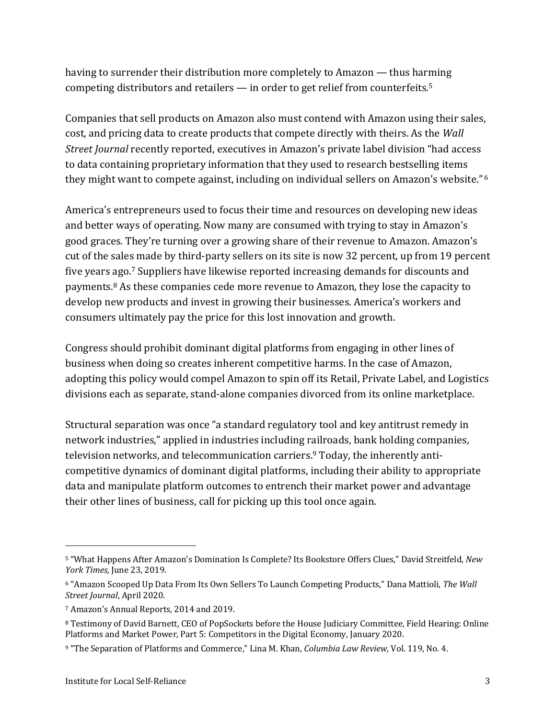having to surrender their distribution more completely to Amazon — thus harming competing distributors and retailers  $-$  in order to get relief from counterfeits.<sup>5</sup>

Companies that sell products on Amazon also must contend with Amazon using their sales, cost, and pricing data to create products that compete directly with theirs. As the *Wall Street Journal* recently reported, executives in Amazon's private label division "had access to data containing proprietary information that they used to research bestselling items they might want to compete against, including on individual sellers on Amazon's website."<sup>6</sup>

America's entrepreneurs used to focus their time and resources on developing new ideas and better ways of operating. Now many are consumed with trying to stay in Amazon's good graces. They're turning over a growing share of their revenue to Amazon. Amazon's cut of the sales made by third-party sellers on its site is now 32 percent, up from 19 percent five years ago.<sup>7</sup> Suppliers have likewise reported increasing demands for discounts and payments. $8$  As these companies cede more revenue to Amazon, they lose the capacity to develop new products and invest in growing their businesses. America's workers and consumers ultimately pay the price for this lost innovation and growth.

Congress should prohibit dominant digital platforms from engaging in other lines of business when doing so creates inherent competitive harms. In the case of Amazon, adopting this policy would compel Amazon to spin off its Retail, Private Label, and Logistics divisions each as separate, stand-alone companies divorced from its online marketplace.

Structural separation was once "a standard regulatory tool and key antitrust remedy in network industries," applied in industries including railroads, bank holding companies, television networks, and telecommunication carriers.<sup>9</sup> Today, the inherently anticompetitive dynamics of dominant digital platforms, including their ability to appropriate data and manipulate platform outcomes to entrench their market power and advantage their other lines of business, call for picking up this tool once again.

<sup>5 &</sup>quot;What Happens After Amazon's Domination Is Complete? Its Bookstore Offers Clues," David Streitfeld, *New York Times,* June 23, 2019.

<sup>6 &</sup>quot;Amazon Scooped Up Data From Its Own Sellers To Launch Competing Products," Dana Mattioli, The Wall *Street Journal*, April 2020.

<sup>&</sup>lt;sup>7</sup> Amazon's Annual Reports, 2014 and 2019.

<sup>&</sup>lt;sup>8</sup> Testimony of David Barnett, CEO of PopSockets before the House Judiciary Committee, Field Hearing: Online Platforms and Market Power, Part 5: Competitors in the Digital Economy, January 2020.

<sup>9 &</sup>quot;The Separation of Platforms and Commerce," Lina M. Khan, *Columbia Law Review*, Vol. 119, No. 4.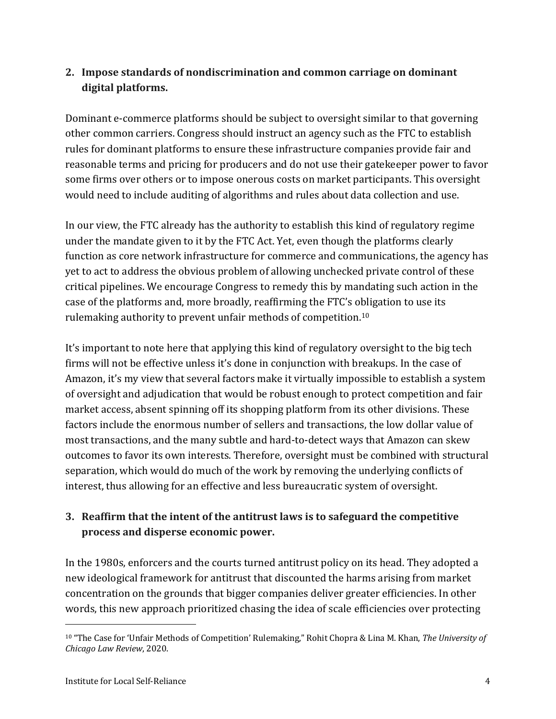## **2.** Impose standards of nondiscrimination and common carriage on dominant digital platforms.

Dominant e-commerce platforms should be subject to oversight similar to that governing other common carriers. Congress should instruct an agency such as the FTC to establish rules for dominant platforms to ensure these infrastructure companies provide fair and reasonable terms and pricing for producers and do not use their gatekeeper power to favor some firms over others or to impose onerous costs on market participants. This oversight would need to include auditing of algorithms and rules about data collection and use.

In our view, the FTC already has the authority to establish this kind of regulatory regime under the mandate given to it by the FTC Act. Yet, even though the platforms clearly function as core network infrastructure for commerce and communications, the agency has yet to act to address the obvious problem of allowing unchecked private control of these critical pipelines. We encourage Congress to remedy this by mandating such action in the case of the platforms and, more broadly, reaffirming the FTC's obligation to use its rulemaking authority to prevent unfair methods of competition.<sup>10</sup>

It's important to note here that applying this kind of regulatory oversight to the big tech firms will not be effective unless it's done in conjunction with breakups. In the case of Amazon, it's my view that several factors make it virtually impossible to establish a system of oversight and adjudication that would be robust enough to protect competition and fair market access, absent spinning off its shopping platform from its other divisions. These factors include the enormous number of sellers and transactions, the low dollar value of most transactions, and the many subtle and hard-to-detect ways that Amazon can skew outcomes to favor its own interests. Therefore, oversight must be combined with structural separation, which would do much of the work by removing the underlying conflicts of interest, thus allowing for an effective and less bureaucratic system of oversight.

## **3.** Reaffirm that the intent of the antitrust laws is to safeguard the competitive **process and disperse economic power.**

In the 1980s, enforcers and the courts turned antitrust policy on its head. They adopted a new ideological framework for antitrust that discounted the harms arising from market concentration on the grounds that bigger companies deliver greater efficiencies. In other words, this new approach prioritized chasing the idea of scale efficiencies over protecting

<sup>&</sup>lt;sup>10</sup> "The Case for 'Unfair Methods of Competition' Rulemaking," Rohit Chopra & Lina M. Khan, The University of *Chicago Law Review*, 2020.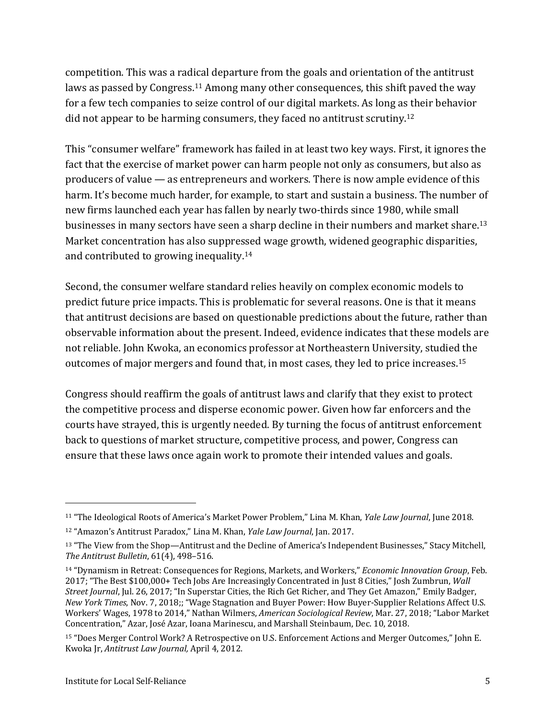competition. This was a radical departure from the goals and orientation of the antitrust laws as passed by Congress.<sup>11</sup> Among many other consequences, this shift paved the way for a few tech companies to seize control of our digital markets. As long as their behavior did not appear to be harming consumers, they faced no antitrust scrutiny.<sup>12</sup>

This "consumer welfare" framework has failed in at least two key ways. First, it ignores the fact that the exercise of market power can harm people not only as consumers, but also as producers of value  $-$  as entrepreneurs and workers. There is now ample evidence of this harm. It's become much harder, for example, to start and sustain a business. The number of new firms launched each year has fallen by nearly two-thirds since 1980, while small businesses in many sectors have seen a sharp decline in their numbers and market share.<sup>13</sup> Market concentration has also suppressed wage growth, widened geographic disparities, and contributed to growing inequality.<sup>14</sup>

Second, the consumer welfare standard relies heavily on complex economic models to predict future price impacts. This is problematic for several reasons. One is that it means that antitrust decisions are based on questionable predictions about the future, rather than observable information about the present. Indeed, evidence indicates that these models are not reliable. John Kwoka, an economics professor at Northeastern University, studied the outcomes of major mergers and found that, in most cases, they led to price increases.<sup>15</sup>

Congress should reaffirm the goals of antitrust laws and clarify that they exist to protect the competitive process and disperse economic power. Given how far enforcers and the courts have strayed, this is urgently needed. By turning the focus of antitrust enforcement back to questions of market structure, competitive process, and power, Congress can ensure that these laws once again work to promote their intended values and goals.

<sup>&</sup>lt;sup>11</sup> "The Ideological Roots of America's Market Power Problem," Lina M. Khan, *Yale Law Journal*, June 2018.

<sup>&</sup>lt;sup>12</sup> "Amazon's Antitrust Paradox," Lina M. Khan, *Yale Law Journal*, Jan. 2017.

<sup>&</sup>lt;sup>13</sup> "The View from the Shop—Antitrust and the Decline of America's Independent Businesses," Stacy Mitchell, *The Antitrust Bulletin,* 61(4), 498-516.

<sup>&</sup>lt;sup>14</sup> "Dynamism in Retreat: Consequences for Regions, Markets, and Workers," *Economic Innovation Group*, Feb. 2017; "The Best \$100,000+ Tech Jobs Are Increasingly Concentrated in Just 8 Cities," Josh Zumbrun, *Wall Street Journal*, Jul. 26, 2017; "In Superstar Cities, the Rich Get Richer, and They Get Amazon," Emily Badger, *New York Times*, Nov. 7, 2018;; "Wage Stagnation and Buyer Power: How Buyer-Supplier Relations Affect U.S. Workers' Wages, 1978 to 2014," Nathan Wilmers, *American Sociological Review*, Mar. 27, 2018; "Labor Market Concentration," Azar, José Azar, Ioana Marinescu, and Marshall Steinbaum, Dec. 10, 2018.

<sup>&</sup>lt;sup>15</sup> "Does Merger Control Work? A Retrospective on U.S. Enforcement Actions and Merger Outcomes," John E. Kwoka Jr, *Antitrust Law Journal*, April 4, 2012.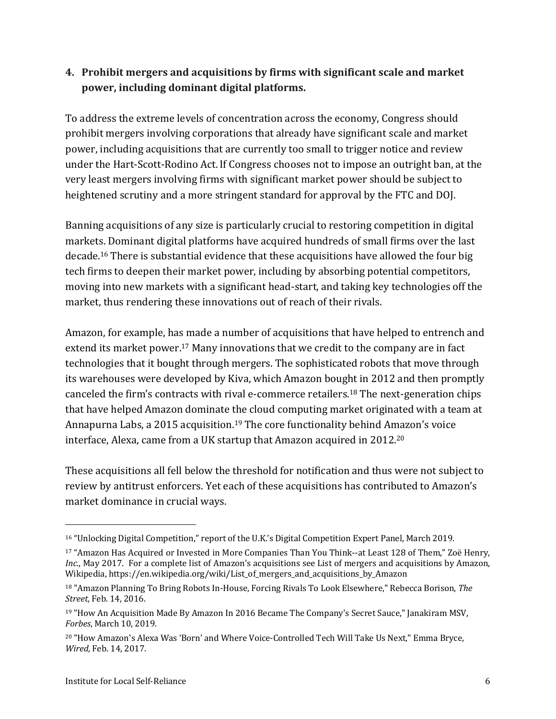### **4. Prohibit mergers and acquisitions by firms with significant scale and market**  power, including dominant digital platforms.

To address the extreme levels of concentration across the economy, Congress should prohibit mergers involving corporations that already have significant scale and market power, including acquisitions that are currently too small to trigger notice and review under the Hart-Scott-Rodino Act. If Congress chooses not to impose an outright ban, at the very least mergers involving firms with significant market power should be subject to heightened scrutiny and a more stringent standard for approval by the FTC and DOJ.

Banning acquisitions of any size is particularly crucial to restoring competition in digital markets. Dominant digital platforms have acquired hundreds of small firms over the last decade.<sup>16</sup> There is substantial evidence that these acquisitions have allowed the four big tech firms to deepen their market power, including by absorbing potential competitors, moving into new markets with a significant head-start, and taking key technologies off the market, thus rendering these innovations out of reach of their rivals.

Amazon, for example, has made a number of acquisitions that have helped to entrench and extend its market power.<sup>17</sup> Many innovations that we credit to the company are in fact technologies that it bought through mergers. The sophisticated robots that move through its warehouses were developed by Kiva, which Amazon bought in 2012 and then promptly canceled the firm's contracts with rival e-commerce retailers.<sup>18</sup> The next-generation chips that have helped Amazon dominate the cloud computing market originated with a team at Annapurna Labs, a 2015 acquisition.<sup>19</sup> The core functionality behind Amazon's voice interface, Alexa, came from a UK startup that Amazon acquired in 2012. $^{\rm 20}$ 

These acquisitions all fell below the threshold for notification and thus were not subject to review by antitrust enforcers. Yet each of these acquisitions has contributed to Amazon's market dominance in crucial ways.

<sup>&</sup>lt;sup>16</sup> "Unlocking Digital Competition," report of the U.K.'s Digital Competition Expert Panel, March 2019.

<sup>&</sup>lt;sup>17</sup> "Amazon Has Acquired or Invested in More Companies Than You Think--at Least 128 of Them," Zoë Henry, *Inc.*, May 2017. For a complete list of Amazon's acquisitions see List of mergers and acquisitions by Amazon, Wikipedia, https://en.wikipedia.org/wiki/List\_of\_mergers\_and\_acquisitions\_by\_Amazon 

<sup>&</sup>lt;sup>18</sup> "Amazon Planning To Bring Robots In-House, Forcing Rivals To Look Elsewhere," Rebecca Borison, The *Street*, Feb. 14, 2016.

<sup>&</sup>lt;sup>19</sup> "How An Acquisition Made By Amazon In 2016 Became The Company's Secret Sauce," Janakiram MSV, *Forbes*, March 10, 2019.

<sup>&</sup>lt;sup>20</sup> "How Amazon's Alexa Was 'Born' and Where Voice-Controlled Tech Will Take Us Next," Emma Bryce, *Wired*, Feb. 14, 2017.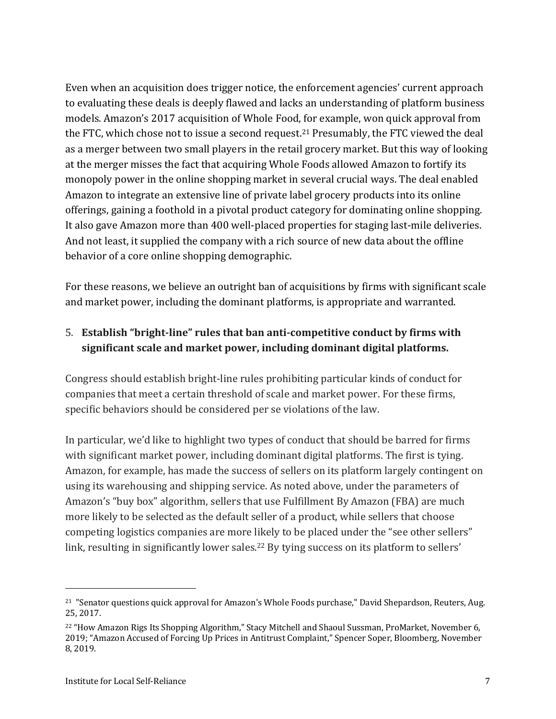Even when an acquisition does trigger notice, the enforcement agencies' current approach to evaluating these deals is deeply flawed and lacks an understanding of platform business models. Amazon's 2017 acquisition of Whole Food, for example, won quick approval from the FTC, which chose not to issue a second request.<sup>21</sup> Presumably, the FTC viewed the deal as a merger between two small players in the retail grocery market. But this way of looking at the merger misses the fact that acquiring Whole Foods allowed Amazon to fortify its monopoly power in the online shopping market in several crucial ways. The deal enabled Amazon to integrate an extensive line of private label grocery products into its online offerings, gaining a foothold in a pivotal product category for dominating online shopping. It also gave Amazon more than 400 well-placed properties for staging last-mile deliveries. And not least, it supplied the company with a rich source of new data about the offline behavior of a core online shopping demographic.

For these reasons, we believe an outright ban of acquisitions by firms with significant scale and market power, including the dominant platforms, is appropriate and warranted.

## 5. Establish "bright-line" rules that ban anti-competitive conduct by firms with significant scale and market power, including dominant digital platforms.

Congress should establish bright-line rules prohibiting particular kinds of conduct for companies that meet a certain threshold of scale and market power. For these firms, specific behaviors should be considered per se violations of the law.

In particular, we'd like to highlight two types of conduct that should be barred for firms with significant market power, including dominant digital platforms. The first is tying. Amazon, for example, has made the success of sellers on its platform largely contingent on using its warehousing and shipping service. As noted above, under the parameters of Amazon's "buy box" algorithm, sellers that use Fulfillment By Amazon (FBA) are much more likely to be selected as the default seller of a product, while sellers that choose competing logistics companies are more likely to be placed under the "see other sellers" link, resulting in significantly lower sales.<sup>22</sup> By tying success on its platform to sellers'

 $21$  "Senator questions quick approval for Amazon's Whole Foods purchase," David Shepardson, Reuters, Aug. 25, 2017.

<sup>&</sup>lt;sup>22</sup> "How Amazon Rigs Its Shopping Algorithm," Stacy Mitchell and Shaoul Sussman, ProMarket, November 6, 2019; "Amazon Accused of Forcing Up Prices in Antitrust Complaint," Spencer Soper, Bloomberg, November 8, 2019.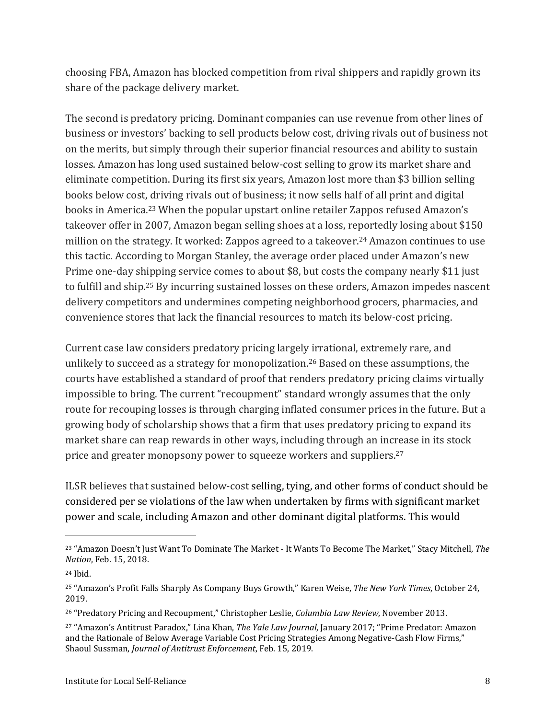choosing FBA, Amazon has blocked competition from rival shippers and rapidly grown its share of the package delivery market.

The second is predatory pricing. Dominant companies can use revenue from other lines of business or investors' backing to sell products below cost, driving rivals out of business not on the merits, but simply through their superior financial resources and ability to sustain losses. Amazon has long used sustained below-cost selling to grow its market share and eliminate competition. During its first six years, Amazon lost more than \$3 billion selling books below cost, driving rivals out of business; it now sells half of all print and digital books in America.<sup>23</sup> When the popular upstart online retailer Zappos refused Amazon's takeover offer in 2007, Amazon began selling shoes at a loss, reportedly losing about \$150 million on the strategy. It worked: Zappos agreed to a takeover.<sup>24</sup> Amazon continues to use this tactic. According to Morgan Stanley, the average order placed under Amazon's new Prime one-day shipping service comes to about \$8, but costs the company nearly \$11 just to fulfill and ship.<sup>25</sup> By incurring sustained losses on these orders, Amazon impedes nascent delivery competitors and undermines competing neighborhood grocers, pharmacies, and convenience stores that lack the financial resources to match its below-cost pricing.

Current case law considers predatory pricing largely irrational, extremely rare, and unlikely to succeed as a strategy for monopolization.<sup>26</sup> Based on these assumptions, the courts have established a standard of proof that renders predatory pricing claims virtually impossible to bring. The current "recoupment" standard wrongly assumes that the only route for recouping losses is through charging inflated consumer prices in the future. But a growing body of scholarship shows that a firm that uses predatory pricing to expand its market share can reap rewards in other ways, including through an increase in its stock price and greater monopsony power to squeeze workers and suppliers.<sup>27</sup>

ILSR believes that sustained below-cost selling, tying, and other forms of conduct should be considered per se violations of the law when undertaken by firms with significant market power and scale, including Amazon and other dominant digital platforms. This would

<sup>&</sup>lt;sup>23</sup> "Amazon Doesn't Just Want To Dominate The Market - It Wants To Become The Market," Stacy Mitchell, The *Nation*, Feb. 15, 2018.

<sup>24</sup> Ibid. 

<sup>&</sup>lt;sup>25</sup> "Amazon's Profit Falls Sharply As Company Buys Growth," Karen Weise, *The New York Times*, October 24, 2019. 

<sup>&</sup>lt;sup>26</sup> "Predatory Pricing and Recoupment," Christopher Leslie, *Columbia Law Review*, November 2013.

<sup>&</sup>lt;sup>27</sup> "Amazon's Antitrust Paradox," Lina Khan, *The Yale Law Journal*, January 2017; "Prime Predator: Amazon and the Rationale of Below Average Variable Cost Pricing Strategies Among Negative-Cash Flow Firms," Shaoul Sussman, *Journal of Antitrust Enforcement*, Feb. 15, 2019.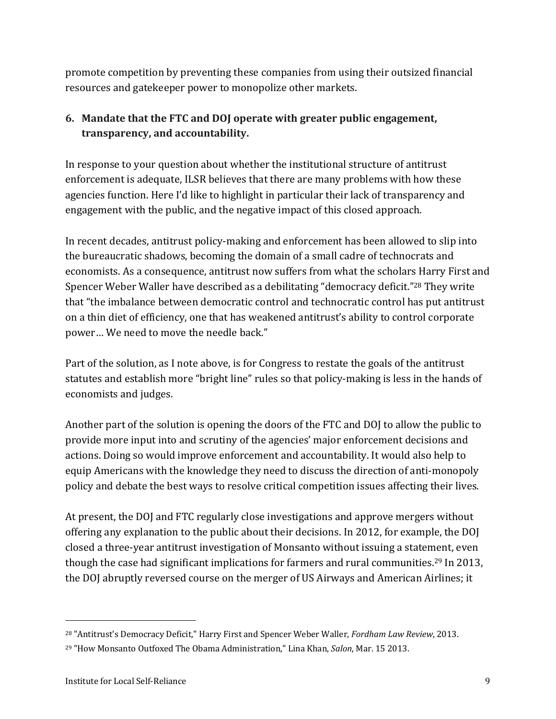promote competition by preventing these companies from using their outsized financial resources and gatekeeper power to monopolize other markets.

## **6.** Mandate that the FTC and DOJ operate with greater public engagement, **transparency, and accountability.**

In response to your question about whether the institutional structure of antitrust enforcement is adequate, ILSR believes that there are many problems with how these agencies function. Here I'd like to highlight in particular their lack of transparency and engagement with the public, and the negative impact of this closed approach.

In recent decades, antitrust policy-making and enforcement has been allowed to slip into the bureaucratic shadows, becoming the domain of a small cadre of technocrats and economists. As a consequence, antitrust now suffers from what the scholars Harry First and Spencer Weber Waller have described as a debilitating "democracy deficit."<sup>28</sup> They write that "the imbalance between democratic control and technocratic control has put antitrust on a thin diet of efficiency, one that has weakened antitrust's ability to control corporate power... We need to move the needle back."

Part of the solution, as I note above, is for Congress to restate the goals of the antitrust statutes and establish more "bright line" rules so that policy-making is less in the hands of economists and judges.

Another part of the solution is opening the doors of the FTC and DOJ to allow the public to provide more input into and scrutiny of the agencies' major enforcement decisions and actions. Doing so would improve enforcement and accountability. It would also help to equip Americans with the knowledge they need to discuss the direction of anti-monopoly policy and debate the best ways to resolve critical competition issues affecting their lives.

At present, the DOJ and FTC regularly close investigations and approve mergers without offering any explanation to the public about their decisions. In 2012, for example, the DOJ closed a three-year antitrust investigation of Monsanto without issuing a statement, even though the case had significant implications for farmers and rural communities.<sup>29</sup> In 2013, the DOJ abruptly reversed course on the merger of US Airways and American Airlines; it

<sup>&</sup>lt;sup>28</sup> "Antitrust's Democracy Deficit," Harry First and Spencer Weber Waller, *Fordham Law Review*, 2013.

<sup>&</sup>lt;sup>29</sup> "How Monsanto Outfoxed The Obama Administration," Lina Khan, *Salon*, Mar. 15 2013.